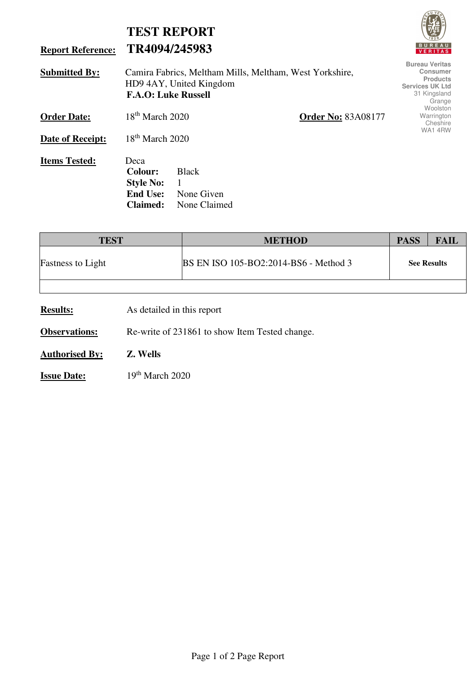| <b>Report Reference:</b> | <b>TEST REPORT</b><br>TR4094/245983                                                                              | <b>BUREAU</b><br><b>VERITAS</b>                                                                                 |
|--------------------------|------------------------------------------------------------------------------------------------------------------|-----------------------------------------------------------------------------------------------------------------|
| <b>Submitted By:</b>     | Camira Fabrics, Meltham Mills, Meltham, West Yorkshire,<br>HD9 4AY, United Kingdom<br><b>F.A.O: Luke Russell</b> | <b>Bureau Veritas</b><br><b>Consumer</b><br><b>Products</b><br><b>Services UK Ltd</b><br>31 Kingsland<br>Grange |
| <b>Order Date:</b>       | $18th$ March 2020<br><b>Order No: 83A08177</b>                                                                   | Woolston<br>Warrington<br>Cheshire                                                                              |
| Date of Receipt:         | $18th$ March 2020                                                                                                | WA14RW                                                                                                          |
| <b>Items Tested:</b>     | Deca<br><b>Colour:</b><br><b>Black</b><br><b>Style No:</b><br><b>End Use:</b><br>None Given                      |                                                                                                                 |

| <b>TEST</b>              | <b>METHOD</b>                                | <b>PASS</b>        | <b>FAIL</b> |
|--------------------------|----------------------------------------------|--------------------|-------------|
| <b>Fastness to Light</b> | <b>BS EN ISO 105-BO2:2014-BS6 - Method 3</b> | <b>See Results</b> |             |
|                          |                                              |                    |             |

**Results:** As detailed in this report

**Observations:** Re-write of 231861 to show Item Tested change.

**Claimed:** None Claimed

**Authorised By: Z. Wells**

**Issue Date:** 19th March 2020